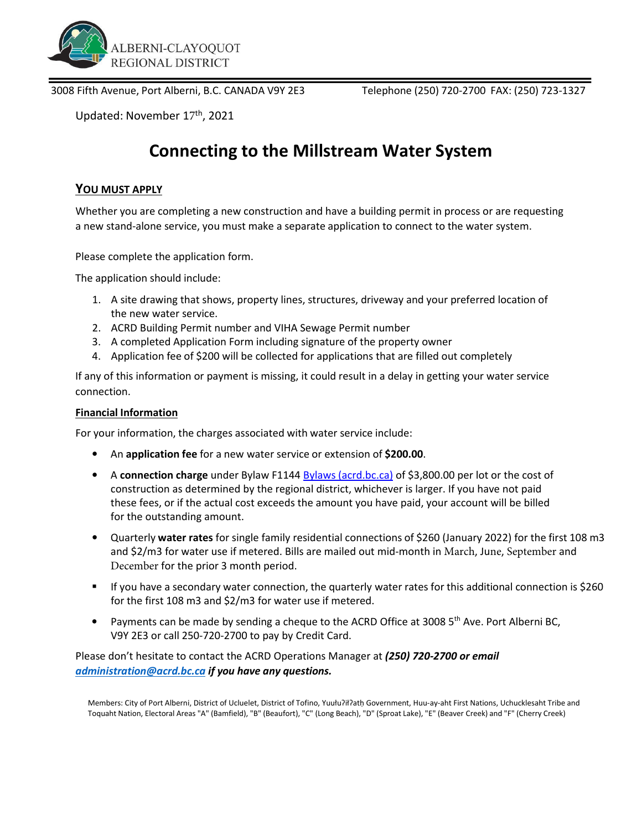

3008 Fifth Avenue, Port Alberni, B.C. CANADA V9Y 2E3 Telephone (250) 720-2700 FAX: (250) 723-1327

Updated: November 17<sup>th</sup>, 2021

## Connecting to the Millstream Water System

## YOU MUST APPLY

Whether you are completing a new construction and have a building permit in process or are requesting a new stand-alone service, you must make a separate application to connect to the water system.

Please complete the application form.

The application should include:

- 1. A site drawing that shows, property lines, structures, driveway and your preferred location of the new water service.
- 2. ACRD Building Permit number and VIHA Sewage Permit number
- 3. A completed Application Form including signature of the property owner
- 4. Application fee of \$200 will be collected for applications that are filled out completely

If any of this information or payment is missing, it could result in a delay in getting your water service connection.

## Financial Information

For your information, the charges associated with water service include:

- An application fee for a new water service or extension of \$200.00.
- A connection charge under Bylaw F1144 Bylaws (acrd.bc.ca) of \$3,800.00 per lot or the cost of construction as determined by the regional district, whichever is larger. If you have not paid these fees, or if the actual cost exceeds the amount you have paid, your account will be billed for the outstanding amount.
- Quarterly water rates for single family residential connections of \$260 (January 2022) for the first 108 m3 and \$2/m3 for water use if metered. Bills are mailed out mid-month in March, June, September and December for the prior 3 month period.
- If you have a secondary water connection, the quarterly water rates for this additional connection is \$260 for the first 108 m3 and \$2/m3 for water use if metered.
- Payments can be made by sending a cheque to the ACRD Office at 3008 5<sup>th</sup> Ave. Port Alberni BC, V9Y 2E3 or call 250-720-2700 to pay by Credit Card.

Please don't hesitate to contact the ACRD Operations Manager at (250) 720-2700 or email administration@acrd.bc.ca if you have any questions.

Members: City of Port Alberni, District of Ucluelet, District of Tofino, Yuułuʔiłʔatḥ Government, Huu-ay-aht First Nations, Uchucklesaht Tribe and Toquaht Nation, Electoral Areas "A" (Bamfield), "B" (Beaufort), "C" (Long Beach), "D" (Sproat Lake), "E" (Beaver Creek) and "F" (Cherry Creek)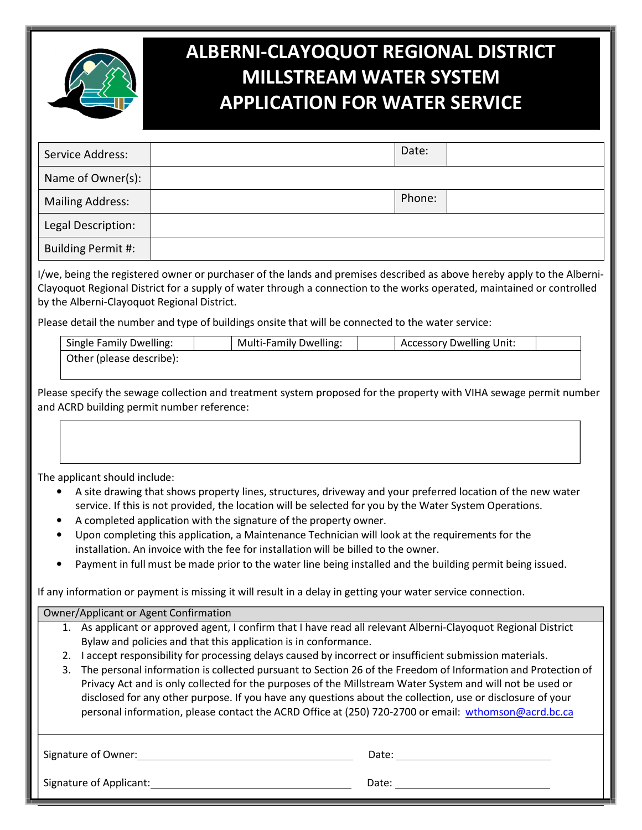

## ALBERNI-CLAYOQUOT REGIONAL DISTRICT MILLSTREAM WATER SYSTEM APPLICATION FOR WATER SERVICE

| Service Address:        | Date:  |  |
|-------------------------|--------|--|
| Name of Owner(s):       |        |  |
| <b>Mailing Address:</b> | Phone: |  |
| Legal Description:      |        |  |
| Building Permit #:      |        |  |

I/we, being the registered owner or purchaser of the lands and premises described as above hereby apply to the Alberni-Clayoquot Regional District for a supply of water through a connection to the works operated, maintained or controlled by the Alberni-Clayoquot Regional District.

Please detail the number and type of buildings onsite that will be connected to the water service:

| <b>Single Family Dwelling:</b> | <b>Multi-Family Dwelling:</b> | <b>Accessory Dwelling Unit:</b> |  |
|--------------------------------|-------------------------------|---------------------------------|--|
| Other (please describe):       |                               |                                 |  |

Please specify the sewage collection and treatment system proposed for the property with VIHA sewage permit number and ACRD building permit number reference:

The applicant should include:

- A site drawing that shows property lines, structures, driveway and your preferred location of the new water service. If this is not provided, the location will be selected for you by the Water System Operations.
- A completed application with the signature of the property owner.
- Upon completing this application, a Maintenance Technician will look at the requirements for the installation. An invoice with the fee for installation will be billed to the owner.
- Payment in full must be made prior to the water line being installed and the building permit being issued.

If any information or payment is missing it will result in a delay in getting your water service connection.

| Owner/Applicant or Agent Confirmation |                                                                                                                |  |  |  |  |
|---------------------------------------|----------------------------------------------------------------------------------------------------------------|--|--|--|--|
|                                       | 1. As applicant or approved agent, I confirm that I have read all relevant Alberni-Clayoquot Regional District |  |  |  |  |
|                                       | Bylaw and policies and that this application is in conformance.                                                |  |  |  |  |
| 2.                                    | I accept responsibility for processing delays caused by incorrect or insufficient submission materials.        |  |  |  |  |
| 3.                                    | The personal information is collected pursuant to Section 26 of the Freedom of Information and Protection of   |  |  |  |  |
|                                       | Privacy Act and is only collected for the purposes of the Millstream Water System and will not be used or      |  |  |  |  |
|                                       | disclosed for any other purpose. If you have any questions about the collection, use or disclosure of your     |  |  |  |  |
|                                       | personal information, please contact the ACRD Office at (250) 720-2700 or email: wthomson@acrd.bc.ca           |  |  |  |  |
|                                       |                                                                                                                |  |  |  |  |
|                                       |                                                                                                                |  |  |  |  |
| Signature of Owner:<br>Date:          |                                                                                                                |  |  |  |  |
|                                       |                                                                                                                |  |  |  |  |
| Signature of Applicant:<br>Date:      |                                                                                                                |  |  |  |  |